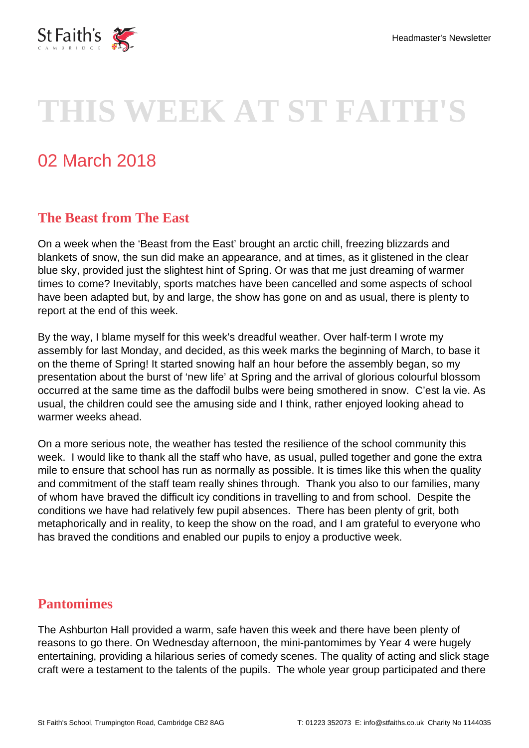

# **THIS WEEK AT ST FAITH'S**

# 02 March 2018

#### **The Beast from The East**

On a week when the 'Beast from the East' brought an arctic chill, freezing blizzards and blankets of snow, the sun did make an appearance, and at times, as it glistened in the clear blue sky, provided just the slightest hint of Spring. Or was that me just dreaming of warmer times to come? Inevitably, sports matches have been cancelled and some aspects of school have been adapted but, by and large, the show has gone on and as usual, there is plenty to report at the end of this week.

By the way, I blame myself for this week's dreadful weather. Over half-term I wrote my assembly for last Monday, and decided, as this week marks the beginning of March, to base it on the theme of Spring! It started snowing half an hour before the assembly began, so my presentation about the burst of 'new life' at Spring and the arrival of glorious colourful blossom occurred at the same time as the daffodil bulbs were being smothered in snow. C'est la vie. As usual, the children could see the amusing side and I think, rather enjoyed looking ahead to warmer weeks ahead.

On a more serious note, the weather has tested the resilience of the school community this week. I would like to thank all the staff who have, as usual, pulled together and gone the extra mile to ensure that school has run as normally as possible. It is times like this when the quality and commitment of the staff team really shines through. Thank you also to our families, many of whom have braved the difficult icy conditions in travelling to and from school. Despite the conditions we have had relatively few pupil absences. There has been plenty of grit, both metaphorically and in reality, to keep the show on the road, and I am grateful to everyone who has braved the conditions and enabled our pupils to enjoy a productive week.

#### **Pantomimes**

The Ashburton Hall provided a warm, safe haven this week and there have been plenty of reasons to go there. On Wednesday afternoon, the mini-pantomimes by Year 4 were hugely entertaining, providing a hilarious series of comedy scenes. The quality of acting and slick stage craft were a testament to the talents of the pupils. The whole year group participated and there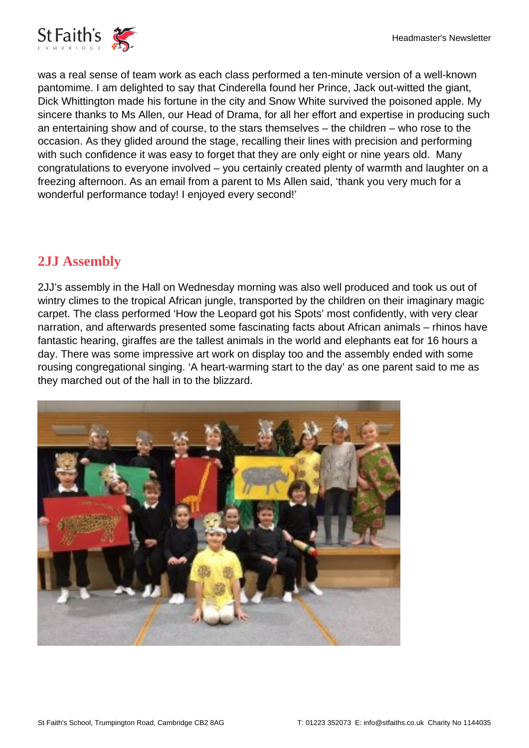

was a real sense of team work as each class performed a ten-minute version of a well-known pantomime. I am delighted to say that Cinderella found her Prince, Jack out-witted the giant, Dick Whittington made his fortune in the city and Snow White survived the poisoned apple. My sincere thanks to Ms Allen, our Head of Drama, for all her effort and expertise in producing such an entertaining show and of course, to the stars themselves – the children – who rose to the occasion. As they glided around the stage, recalling their lines with precision and performing with such confidence it was easy to forget that they are only eight or nine years old. Many congratulations to everyone involved – you certainly created plenty of warmth and laughter on a freezing afternoon. As an email from a parent to Ms Allen said, 'thank you very much for a wonderful performance today! I enjoyed every second!'

### **2JJ Assembly**

2JJ's assembly in the Hall on Wednesday morning was also well produced and took us out of wintry climes to the tropical African jungle, transported by the children on their imaginary magic carpet. The class performed 'How the Leopard got his Spots' most confidently, with very clear narration, and afterwards presented some fascinating facts about African animals – rhinos have fantastic hearing, giraffes are the tallest animals in the world and elephants eat for 16 hours a day. There was some impressive art work on display too and the assembly ended with some rousing congregational singing. 'A heart-warming start to the day' as one parent said to me as they marched out of the hall in to the blizzard.

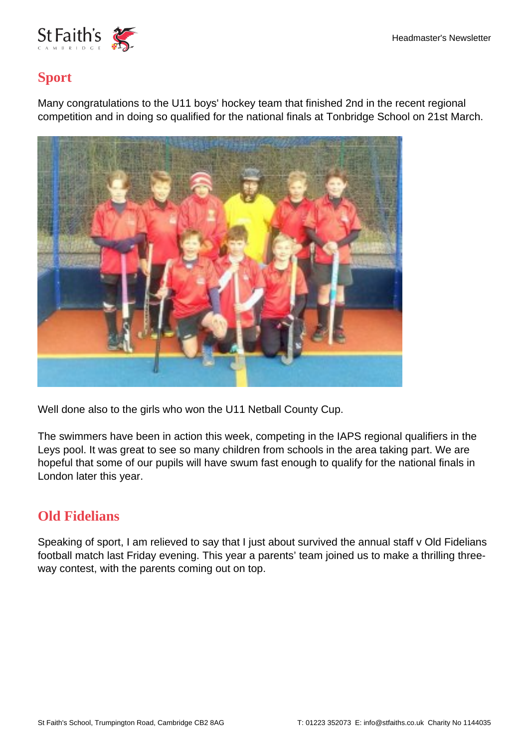

## **Sport**

Many congratulations to the U11 boys' hockey team that finished 2nd in the recent regional competition and in doing so qualified for the national finals at Tonbridge School on 21st March.



Well done also to the girls who won the U11 Netball County Cup.

The swimmers have been in action this week, competing in the IAPS regional qualifiers in the Leys pool. It was great to see so many children from schools in the area taking part. We are hopeful that some of our pupils will have swum fast enough to qualify for the national finals in London later this year.

#### **Old Fidelians**

Speaking of sport, I am relieved to say that I just about survived the annual staff v Old Fidelians football match last Friday evening. This year a parents' team joined us to make a thrilling threeway contest, with the parents coming out on top.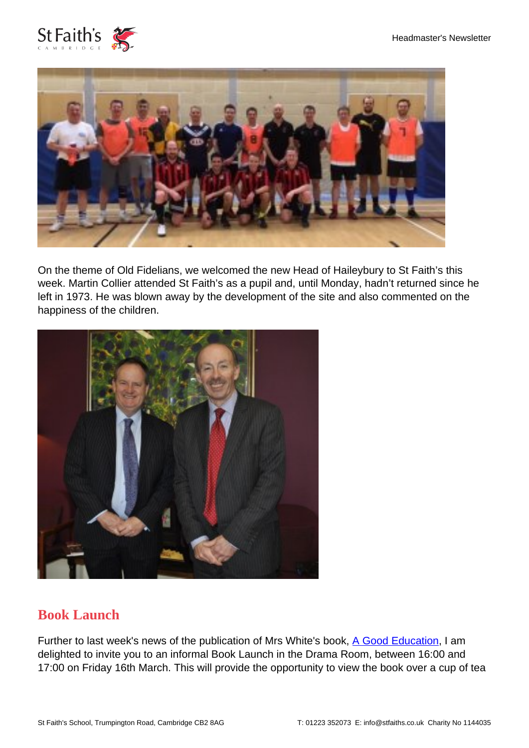



On the theme of Old Fidelians, we welcomed the new Head of Haileybury to St Faith's this week. Martin Collier attended St Faith's as a pupil and, until Monday, hadn't returned since he left in 1973. He was blown away by the development of the site and also commented on the happiness of the children.



#### **Book Launch**

Further to last week's news of the publication of Mrs White's book, [A Good Education,](https://www.stfaiths.co.uk/wp-content/uploads/2018/02/A-Good-Education-flyer.pdf) I am delighted to invite you to an informal Book Launch in the Drama Room, between 16:00 and 17:00 on Friday 16th March. This will provide the opportunity to view the book over a cup of tea